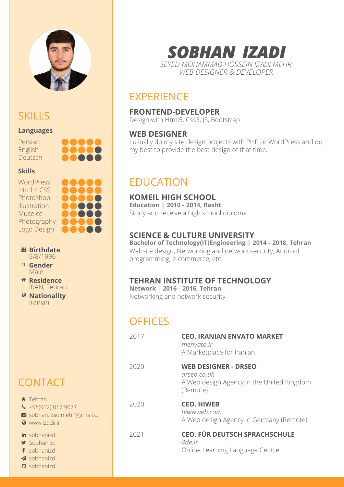

## **SKILLS**

### **Languages**

Persian English **Deutsch** 



### **Skills**

**WordPress** Html + CSS Photoshop illustration Muse cc **Photography** Logo Design



**Birthdate** 5/8/1996

- **O** Gender Male
- **Residence** IRAN, Tehran
- **Nationality** Iranian

# **CONTACT**

**O** sobhanizd

**Tehran**  $\leftarrow$  +98(912) 017 9077  $\blacktriangleright$  sobhan.izadimehr@gmail.c.. **Q** www.izadii.ir in sobhanizd  $\blacktriangleright$  Sobhanizd f sobhanizd 1 sobhanizd



# **EXPERIENCE**

### **FRONTEND-DEVELOPER**

Design with Html5, Css3, JS, Bootstrap

### **WEB DESIGNER**

I usually do my site design projects with PHP or WordPress and do my best to provide the best design of that time.

# EDUCATION

## **KOMEIL HIGH SCHOOL**

**Education | 2010 - 2014, Rasht** Study and receive a high school diploma

## **SCIENCE & CULTURE UNIVERSITY**

**Bachelor of Technology(IT)Engineering | 2014 - 2018, Tehran** Website design, Networking and network security, Android programming, e-commerce, etc.

## **TEHRAN INSTITUTE OF TECHNOLOGY**

**Network | 2016 - 2016, Tehran** Networking and network security

# **OFFICES**

| 2017 | <b>CEO. IRANIAN ENVATO MARKET</b><br>menvato.ir<br>A Marketplace for Iranian                        |
|------|-----------------------------------------------------------------------------------------------------|
| 2020 | <b>WEB DESIGNER - DRSEO</b><br>drseo.co.uk<br>A Web design Agency in the United Kingdom<br>(Remote) |
| 2020 | <b>CEO. HIWEB</b><br>hiwwweb.com<br>A Web design Agency in Germany (Remote)                         |
| 2021 | <b>CEO. FÜR DEUTSCH SPRACHSCHULE</b><br>4de.ir<br>Online Learning Language Centre                   |